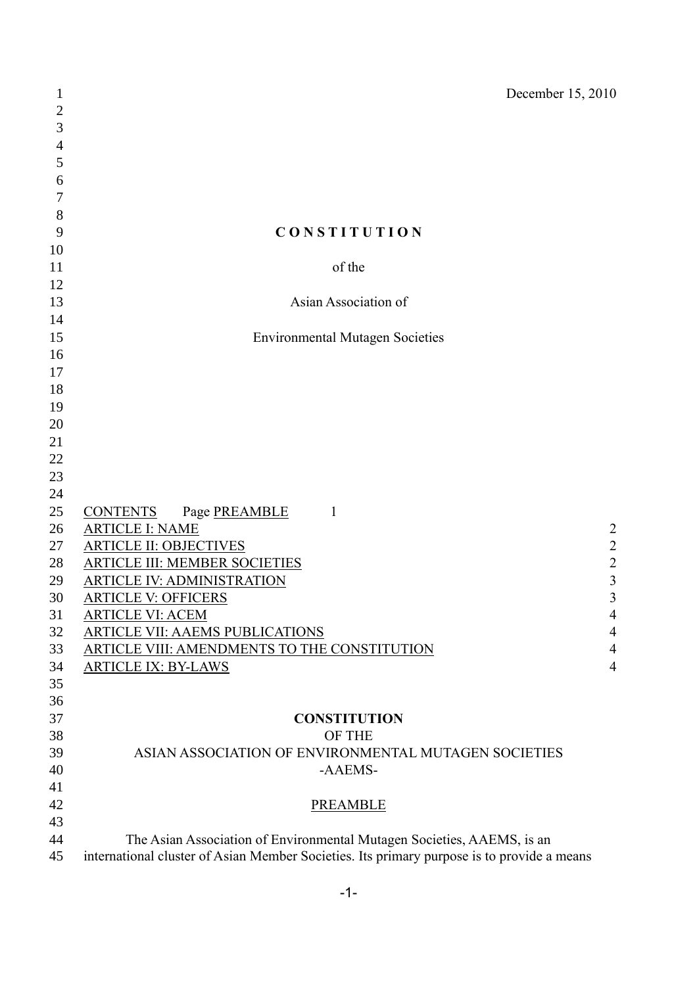| $\mathbf{1}$   | December 15, 2010                                                                          |                         |
|----------------|--------------------------------------------------------------------------------------------|-------------------------|
| $\overline{c}$ |                                                                                            |                         |
| 3              |                                                                                            |                         |
| 4              |                                                                                            |                         |
| 5              |                                                                                            |                         |
| 6              |                                                                                            |                         |
| 7              |                                                                                            |                         |
| $8\,$          |                                                                                            |                         |
| 9              | <b>CONSTITUTION</b>                                                                        |                         |
| 10             |                                                                                            |                         |
| 11             | of the                                                                                     |                         |
| 12             |                                                                                            |                         |
| 13             | Asian Association of                                                                       |                         |
| 14             |                                                                                            |                         |
| 15             | <b>Environmental Mutagen Societies</b>                                                     |                         |
| 16             |                                                                                            |                         |
| 17             |                                                                                            |                         |
| 18             |                                                                                            |                         |
| 19             |                                                                                            |                         |
| 20             |                                                                                            |                         |
| 21             |                                                                                            |                         |
| 22             |                                                                                            |                         |
| 23             |                                                                                            |                         |
| 24             |                                                                                            |                         |
| 25             | <b>CONTENTS</b><br>Page PREAMBLE<br>1                                                      |                         |
| 26             | <b>ARTICLE I: NAME</b>                                                                     | $\overline{2}$          |
| 27             | <b>ARTICLE II: OBJECTIVES</b>                                                              | $\overline{c}$          |
| 28             | ARTICLE III: MEMBER SOCIETIES                                                              | $\overline{c}$          |
| 29             | <b>ARTICLE IV: ADMINISTRATION</b>                                                          | $\overline{\mathbf{3}}$ |
| 30             | <b>ARTICLE V: OFFICERS</b>                                                                 | 3                       |
| 31             | <b>ARTICLE VI: ACEM</b>                                                                    | $\overline{4}$          |
| 32             | ARTICLE VII: AAEMS PUBLICATIONS                                                            | $\overline{4}$          |
| 33             | <b>ARTICLE VIII: AMENDMENTS TO THE CONSTITUTION</b>                                        | $\overline{4}$          |
| 34             | <b>ARTICLE IX: BY-LAWS</b>                                                                 | $\overline{4}$          |
| 35             |                                                                                            |                         |
| 36             |                                                                                            |                         |
| 37             | <b>CONSTITUTION</b>                                                                        |                         |
| 38             | OF THE                                                                                     |                         |
| 39             | ASIAN ASSOCIATION OF ENVIRONMENTAL MUTAGEN SOCIETIES                                       |                         |
| 40             | -AAEMS-                                                                                    |                         |
| 41             |                                                                                            |                         |
| 42             | <b>PREAMBLE</b>                                                                            |                         |
| 43             |                                                                                            |                         |
| 44             | The Asian Association of Environmental Mutagen Societies, AAEMS, is an                     |                         |
| 45             | international cluster of Asian Member Societies. Its primary purpose is to provide a means |                         |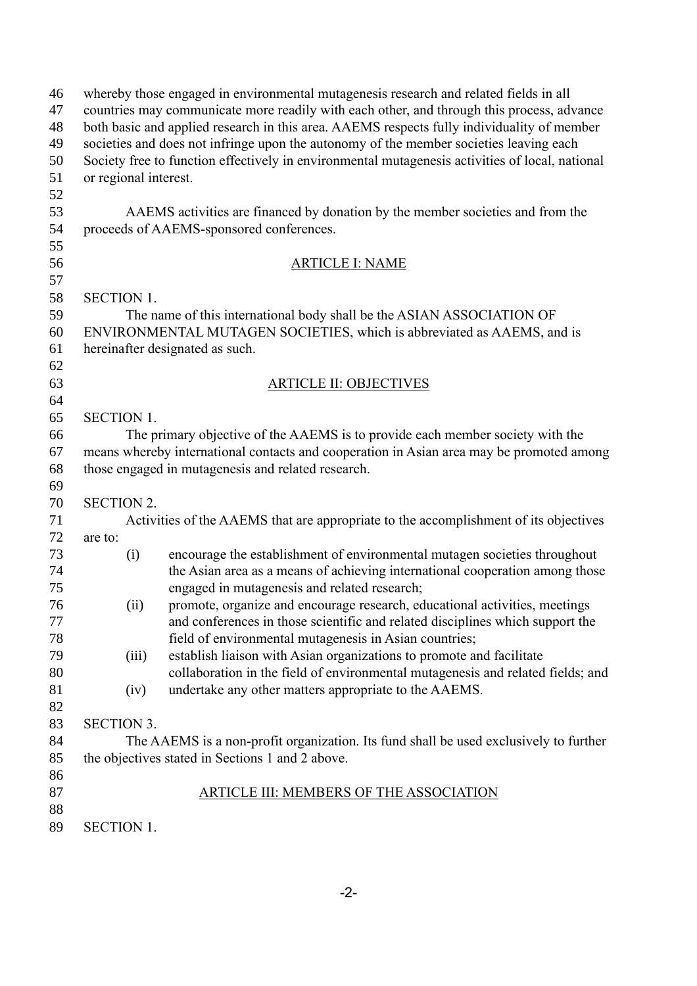| 46 | whereby those engaged in environmental mutagenesis research and related fields in all           |                                                                                          |  |  |  |
|----|-------------------------------------------------------------------------------------------------|------------------------------------------------------------------------------------------|--|--|--|
| 47 | countries may communicate more readily with each other, and through this process, advance       |                                                                                          |  |  |  |
| 48 | both basic and applied research in this area. AAEMS respects fully individuality of member      |                                                                                          |  |  |  |
| 49 | societies and does not infringe upon the autonomy of the member societies leaving each          |                                                                                          |  |  |  |
| 50 | Society free to function effectively in environmental mutagenesis activities of local, national |                                                                                          |  |  |  |
| 51 | or regional interest.                                                                           |                                                                                          |  |  |  |
| 52 |                                                                                                 |                                                                                          |  |  |  |
| 53 |                                                                                                 | AAEMS activities are financed by donation by the member societies and from the           |  |  |  |
| 54 |                                                                                                 | proceeds of AAEMS-sponsored conferences.                                                 |  |  |  |
| 55 |                                                                                                 |                                                                                          |  |  |  |
| 56 |                                                                                                 | <b>ARTICLE I: NAME</b>                                                                   |  |  |  |
| 57 |                                                                                                 |                                                                                          |  |  |  |
| 58 | <b>SECTION 1.</b>                                                                               |                                                                                          |  |  |  |
| 59 | The name of this international body shall be the ASIAN ASSOCIATION OF                           |                                                                                          |  |  |  |
| 60 | ENVIRONMENTAL MUTAGEN SOCIETIES, which is abbreviated as AAEMS, and is                          |                                                                                          |  |  |  |
| 61 |                                                                                                 | hereinafter designated as such.                                                          |  |  |  |
| 62 |                                                                                                 |                                                                                          |  |  |  |
| 63 |                                                                                                 | <b>ARTICLE II: OBJECTIVES</b>                                                            |  |  |  |
| 64 |                                                                                                 |                                                                                          |  |  |  |
| 65 | <b>SECTION 1.</b>                                                                               |                                                                                          |  |  |  |
| 66 |                                                                                                 | The primary objective of the AAEMS is to provide each member society with the            |  |  |  |
| 67 |                                                                                                 | means whereby international contacts and cooperation in Asian area may be promoted among |  |  |  |
| 68 | those engaged in mutagenesis and related research.                                              |                                                                                          |  |  |  |
| 69 |                                                                                                 |                                                                                          |  |  |  |
| 70 | <b>SECTION 2.</b>                                                                               |                                                                                          |  |  |  |
| 71 |                                                                                                 | Activities of the AAEMS that are appropriate to the accomplishment of its objectives     |  |  |  |
| 72 | are to:                                                                                         |                                                                                          |  |  |  |
| 73 | (i)                                                                                             | encourage the establishment of environmental mutagen societies throughout                |  |  |  |
| 74 |                                                                                                 | the Asian area as a means of achieving international cooperation among those             |  |  |  |
| 75 |                                                                                                 | engaged in mutagenesis and related research;                                             |  |  |  |
| 76 | (ii)                                                                                            | promote, organize and encourage research, educational activities, meetings               |  |  |  |
| 77 |                                                                                                 | and conferences in those scientific and related disciplines which support the            |  |  |  |
| 78 |                                                                                                 | field of environmental mutagenesis in Asian countries;                                   |  |  |  |
| 79 | (iii)                                                                                           | establish liaison with Asian organizations to promote and facilitate                     |  |  |  |
| 80 |                                                                                                 | collaboration in the field of environmental mutagenesis and related fields; and          |  |  |  |
| 81 | (iv)                                                                                            | undertake any other matters appropriate to the AAEMS.                                    |  |  |  |
| 82 |                                                                                                 |                                                                                          |  |  |  |
| 83 | <b>SECTION 3.</b>                                                                               |                                                                                          |  |  |  |
| 84 |                                                                                                 | The AAEMS is a non-profit organization. Its fund shall be used exclusively to further    |  |  |  |
| 85 | the objectives stated in Sections 1 and 2 above.                                                |                                                                                          |  |  |  |
| 86 |                                                                                                 |                                                                                          |  |  |  |
| 87 |                                                                                                 | <b>ARTICLE III: MEMBERS OF THE ASSOCIATION</b>                                           |  |  |  |
| 88 |                                                                                                 |                                                                                          |  |  |  |
| 89 | <b>SECTION 1.</b>                                                                               |                                                                                          |  |  |  |
|    |                                                                                                 |                                                                                          |  |  |  |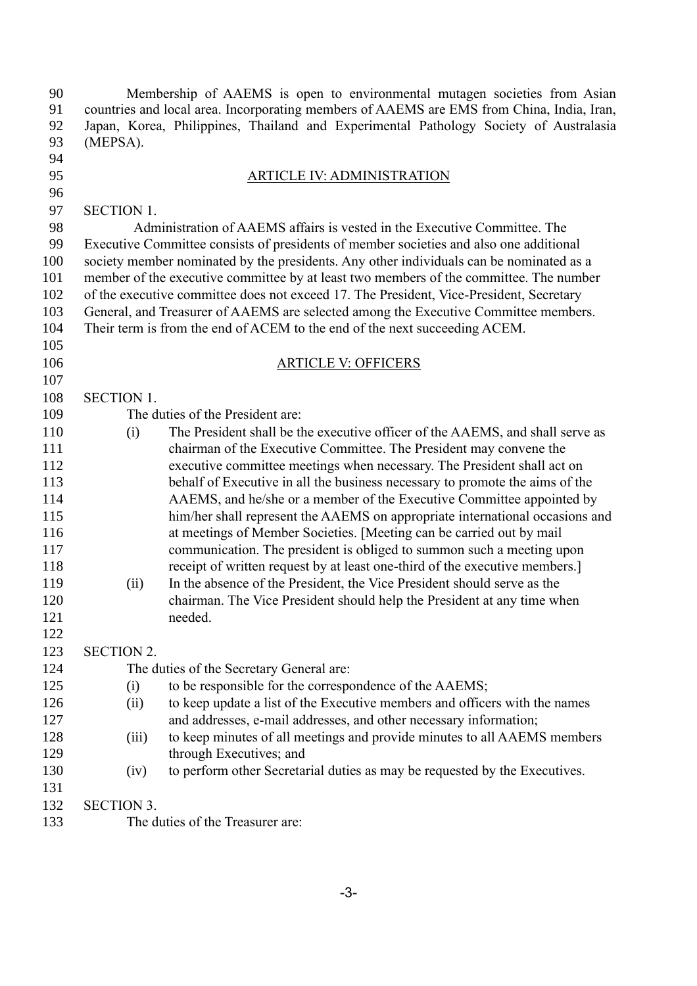90 Membership of AAEMS is open to environmental mutagen societies from Asian countries and local area. Incorporating members of AAEMS are EMS from China, India, Iran, countries and local area. Incorporating members of AAEMS are EMS from China, India, Iran, Japan, Korea, Philippines, Thailand and Experimental Pathology Society of Australasia (MEPSA). ARTICLE IV: ADMINISTRATION SECTION 1. Administration of AAEMS affairs is vested in the Executive Committee. The Executive Committee consists of presidents of member societies and also one additional society member nominated by the presidents. Any other individuals can be nominated as a member of the executive committee by at least two members of the committee. The number of the executive committee does not exceed 17. The President, Vice-President, Secretary General, and Treasurer of AAEMS are selected among the Executive Committee members. Their term is from the end of ACEM to the end of the next succeeding ACEM. ARTICLE V: OFFICERS SECTION 1. The duties of the President are: (i) The President shall be the executive officer of the AAEMS, and shall serve as chairman of the Executive Committee. The President may convene the executive committee meetings when necessary. The President shall act on behalf of Executive in all the business necessary to promote the aims of the AAEMS, and he/she or a member of the Executive Committee appointed by him/her shall represent the AAEMS on appropriate international occasions and at meetings of Member Societies. [Meeting can be carried out by mail communication. The president is obliged to summon such a meeting upon receipt of written request by at least one-third of the executive members.] (ii) In the absence of the President, the Vice President should serve as the chairman. The Vice President should help the President at any time when needed. SECTION 2. The duties of the Secretary General are: (i) to be responsible for the correspondence of the AAEMS; (ii) to keep update a list of the Executive members and officers with the names and addresses, e-mail addresses, and other necessary information; (iii) to keep minutes of all meetings and provide minutes to all AAEMS members 129 through Executives; and (iv) to perform other Secretarial duties as may be requested by the Executives. SECTION 3. The duties of the Treasurer are: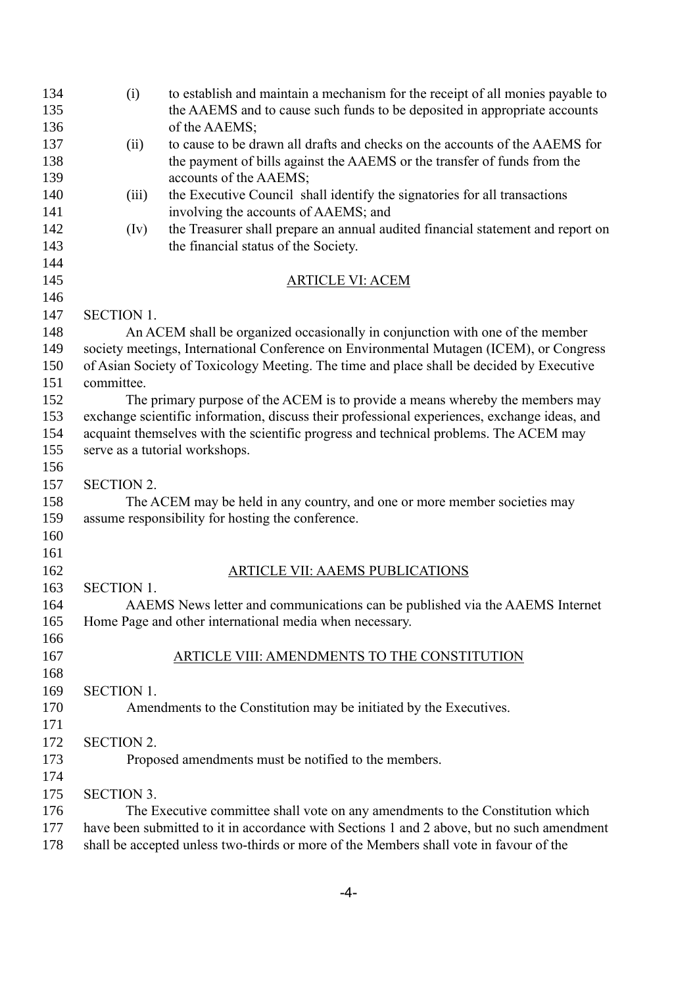| 134        | (i)                                                                                   | to establish and maintain a mechanism for the receipt of all monies payable to                     |  |  |  |
|------------|---------------------------------------------------------------------------------------|----------------------------------------------------------------------------------------------------|--|--|--|
| 135        |                                                                                       | the AAEMS and to cause such funds to be deposited in appropriate accounts                          |  |  |  |
| 136        |                                                                                       | of the AAEMS;<br>to cause to be drawn all drafts and checks on the accounts of the AAEMS for       |  |  |  |
| 137<br>138 | (ii)                                                                                  |                                                                                                    |  |  |  |
| 139        |                                                                                       | the payment of bills against the AAEMS or the transfer of funds from the<br>accounts of the AAEMS; |  |  |  |
| 140        |                                                                                       | the Executive Council shall identify the signatories for all transactions                          |  |  |  |
| 141        | (iii)                                                                                 | involving the accounts of AAEMS; and                                                               |  |  |  |
| 142        | (Iv)                                                                                  | the Treasurer shall prepare an annual audited financial statement and report on                    |  |  |  |
| 143        |                                                                                       | the financial status of the Society.                                                               |  |  |  |
| 144        |                                                                                       |                                                                                                    |  |  |  |
| 145        |                                                                                       | <b>ARTICLE VI: ACEM</b>                                                                            |  |  |  |
| 146        |                                                                                       |                                                                                                    |  |  |  |
| 147        | <b>SECTION 1.</b>                                                                     |                                                                                                    |  |  |  |
| 148        |                                                                                       | An ACEM shall be organized occasionally in conjunction with one of the member                      |  |  |  |
| 149        |                                                                                       | society meetings, International Conference on Environmental Mutagen (ICEM), or Congress            |  |  |  |
| 150        |                                                                                       | of Asian Society of Toxicology Meeting. The time and place shall be decided by Executive           |  |  |  |
| 151        | committee.                                                                            |                                                                                                    |  |  |  |
| 152        |                                                                                       | The primary purpose of the ACEM is to provide a means whereby the members may                      |  |  |  |
| 153        |                                                                                       | exchange scientific information, discuss their professional experiences, exchange ideas, and       |  |  |  |
| 154        | acquaint themselves with the scientific progress and technical problems. The ACEM may |                                                                                                    |  |  |  |
| 155        | serve as a tutorial workshops.                                                        |                                                                                                    |  |  |  |
| 156        |                                                                                       |                                                                                                    |  |  |  |
| 157        | <b>SECTION 2.</b>                                                                     |                                                                                                    |  |  |  |
| 158        | The ACEM may be held in any country, and one or more member societies may             |                                                                                                    |  |  |  |
| 159        | assume responsibility for hosting the conference.                                     |                                                                                                    |  |  |  |
| 160        |                                                                                       |                                                                                                    |  |  |  |
| 161        |                                                                                       |                                                                                                    |  |  |  |
| 162        |                                                                                       | ARTICLE VII: AAEMS PUBLICATIONS                                                                    |  |  |  |
| 163        | <b>SECTION 1.</b>                                                                     |                                                                                                    |  |  |  |
| 164        |                                                                                       | AAEMS News letter and communications can be published via the AAEMS Internet                       |  |  |  |
| 165        |                                                                                       | Home Page and other international media when necessary.                                            |  |  |  |
| 166        |                                                                                       |                                                                                                    |  |  |  |
| 167        |                                                                                       | ARTICLE VIII: AMENDMENTS TO THE CONSTITUTION                                                       |  |  |  |
| 168        |                                                                                       |                                                                                                    |  |  |  |
| 169        | <b>SECTION 1.</b>                                                                     |                                                                                                    |  |  |  |
| 170        |                                                                                       | Amendments to the Constitution may be initiated by the Executives.                                 |  |  |  |
| 171        |                                                                                       |                                                                                                    |  |  |  |
| 172        | <b>SECTION 2.</b>                                                                     |                                                                                                    |  |  |  |
| 173        |                                                                                       | Proposed amendments must be notified to the members.                                               |  |  |  |
| 174        |                                                                                       |                                                                                                    |  |  |  |
| 175        | <b>SECTION 3.</b>                                                                     |                                                                                                    |  |  |  |
| 176        |                                                                                       | The Executive committee shall vote on any amendments to the Constitution which                     |  |  |  |
| 177        |                                                                                       | have been submitted to it in accordance with Sections 1 and 2 above, but no such amendment         |  |  |  |
| 178        |                                                                                       | shall be accepted unless two-thirds or more of the Members shall vote in favour of the             |  |  |  |